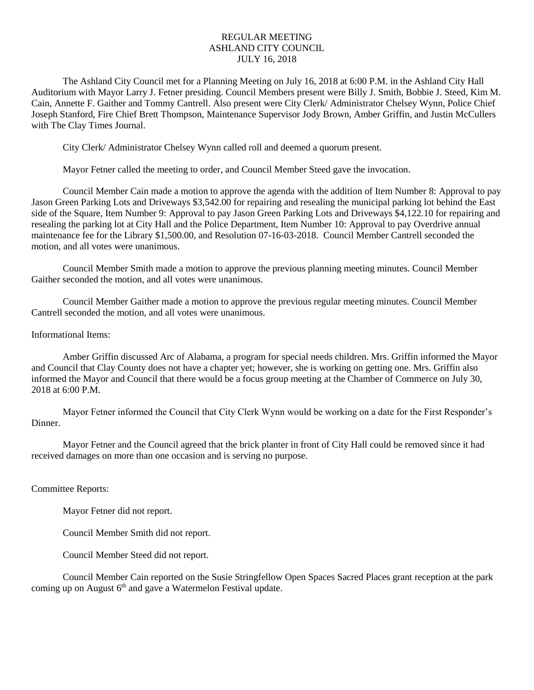## REGULAR MEETING ASHLAND CITY COUNCIL JULY 16, 2018

The Ashland City Council met for a Planning Meeting on July 16, 2018 at 6:00 P.M. in the Ashland City Hall Auditorium with Mayor Larry J. Fetner presiding. Council Members present were Billy J. Smith, Bobbie J. Steed, Kim M. Cain, Annette F. Gaither and Tommy Cantrell. Also present were City Clerk/ Administrator Chelsey Wynn, Police Chief Joseph Stanford, Fire Chief Brett Thompson, Maintenance Supervisor Jody Brown, Amber Griffin, and Justin McCullers with The Clay Times Journal.

City Clerk/ Administrator Chelsey Wynn called roll and deemed a quorum present.

Mayor Fetner called the meeting to order, and Council Member Steed gave the invocation.

Council Member Cain made a motion to approve the agenda with the addition of Item Number 8: Approval to pay Jason Green Parking Lots and Driveways \$3,542.00 for repairing and resealing the municipal parking lot behind the East side of the Square, Item Number 9: Approval to pay Jason Green Parking Lots and Driveways \$4,122.10 for repairing and resealing the parking lot at City Hall and the Police Department, Item Number 10: Approval to pay Overdrive annual maintenance fee for the Library \$1,500.00, and Resolution 07-16-03-2018. Council Member Cantrell seconded the motion, and all votes were unanimous.

Council Member Smith made a motion to approve the previous planning meeting minutes. Council Member Gaither seconded the motion, and all votes were unanimous.

Council Member Gaither made a motion to approve the previous regular meeting minutes. Council Member Cantrell seconded the motion, and all votes were unanimous.

## Informational Items:

Amber Griffin discussed Arc of Alabama, a program for special needs children. Mrs. Griffin informed the Mayor and Council that Clay County does not have a chapter yet; however, she is working on getting one. Mrs. Griffin also informed the Mayor and Council that there would be a focus group meeting at the Chamber of Commerce on July 30, 2018 at 6:00 P.M.

Mayor Fetner informed the Council that City Clerk Wynn would be working on a date for the First Responder's Dinner.

Mayor Fetner and the Council agreed that the brick planter in front of City Hall could be removed since it had received damages on more than one occasion and is serving no purpose.

## Committee Reports:

Mayor Fetner did not report.

Council Member Smith did not report.

Council Member Steed did not report.

Council Member Cain reported on the Susie Stringfellow Open Spaces Sacred Places grant reception at the park coming up on August  $6<sup>th</sup>$  and gave a Watermelon Festival update.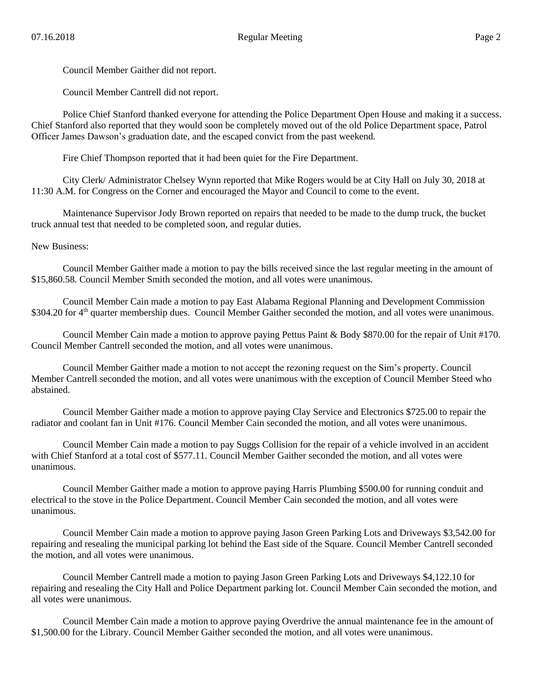Council Member Gaither did not report.

Council Member Cantrell did not report.

Police Chief Stanford thanked everyone for attending the Police Department Open House and making it a success. Chief Stanford also reported that they would soon be completely moved out of the old Police Department space, Patrol Officer James Dawson's graduation date, and the escaped convict from the past weekend.

Fire Chief Thompson reported that it had been quiet for the Fire Department.

City Clerk/ Administrator Chelsey Wynn reported that Mike Rogers would be at City Hall on July 30, 2018 at 11:30 A.M. for Congress on the Corner and encouraged the Mayor and Council to come to the event.

Maintenance Supervisor Jody Brown reported on repairs that needed to be made to the dump truck, the bucket truck annual test that needed to be completed soon, and regular duties.

New Business:

Council Member Gaither made a motion to pay the bills received since the last regular meeting in the amount of \$15,860.58. Council Member Smith seconded the motion, and all votes were unanimous.

Council Member Cain made a motion to pay East Alabama Regional Planning and Development Commission \$304.20 for 4<sup>th</sup> quarter membership dues. Council Member Gaither seconded the motion, and all votes were unanimous.

Council Member Cain made a motion to approve paying Pettus Paint & Body \$870.00 for the repair of Unit #170. Council Member Cantrell seconded the motion, and all votes were unanimous.

Council Member Gaither made a motion to not accept the rezoning request on the Sim's property. Council Member Cantrell seconded the motion, and all votes were unanimous with the exception of Council Member Steed who abstained.

Council Member Gaither made a motion to approve paying Clay Service and Electronics \$725.00 to repair the radiator and coolant fan in Unit #176. Council Member Cain seconded the motion, and all votes were unanimous.

Council Member Cain made a motion to pay Suggs Collision for the repair of a vehicle involved in an accident with Chief Stanford at a total cost of \$577.11. Council Member Gaither seconded the motion, and all votes were unanimous.

Council Member Gaither made a motion to approve paying Harris Plumbing \$500.00 for running conduit and electrical to the stove in the Police Department. Council Member Cain seconded the motion, and all votes were unanimous.

Council Member Cain made a motion to approve paying Jason Green Parking Lots and Driveways \$3,542.00 for repairing and resealing the municipal parking lot behind the East side of the Square. Council Member Cantrell seconded the motion, and all votes were unanimous.

Council Member Cantrell made a motion to paying Jason Green Parking Lots and Driveways \$4,122.10 for repairing and resealing the City Hall and Police Department parking lot. Council Member Cain seconded the motion, and all votes were unanimous.

Council Member Cain made a motion to approve paying Overdrive the annual maintenance fee in the amount of \$1,500.00 for the Library. Council Member Gaither seconded the motion, and all votes were unanimous.